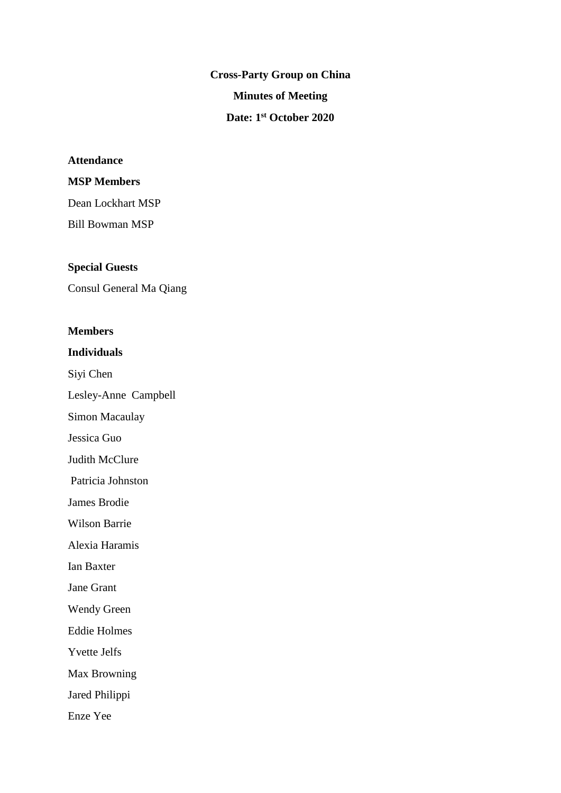**Cross-Party Group on China Minutes of Meeting Date: 1 st October 2020**

## **Attendance**

## **MSP Members**

Dean Lockhart MSP Bill Bowman MSP

### **Special Guests**

Consul General Ma Qiang

#### **Members**

## **Individuals**

Siyi Chen

Lesley-Anne Campbell

Simon Macaulay

Jessica Guo

Judith McClure

Patricia Johnston

James Brodie

Wilson Barrie

Alexia Haramis

Ian Baxter

Jane Grant

Wendy Green

Eddie Holmes

Yvette Jelfs

Max Browning

Jared Philippi

Enze Yee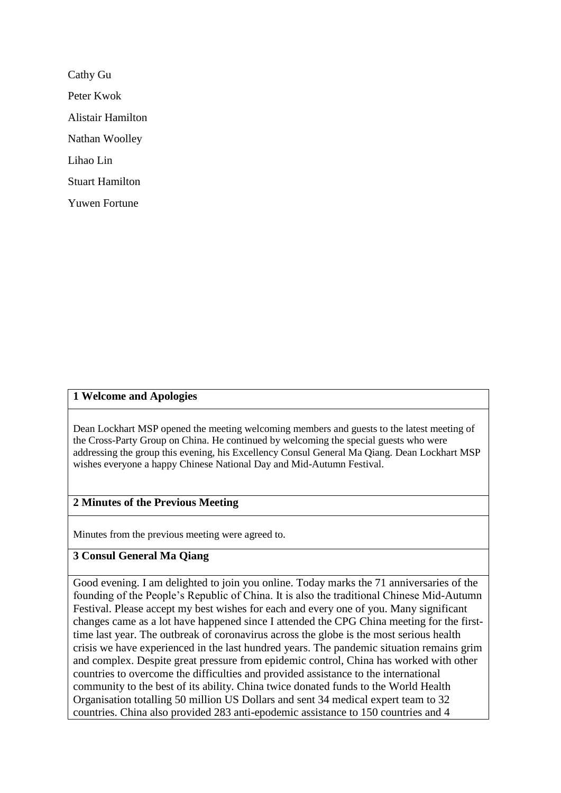Cathy Gu Peter Kwok Alistair Hamilton Nathan Woolley Lihao Lin Stuart Hamilton Yuwen Fortune

## **1 Welcome and Apologies**

Dean Lockhart MSP opened the meeting welcoming members and guests to the latest meeting of the Cross-Party Group on China. He continued by welcoming the special guests who were addressing the group this evening, his Excellency Consul General Ma Qiang. Dean Lockhart MSP wishes everyone a happy Chinese National Day and Mid-Autumn Festival.

### **2 Minutes of the Previous Meeting**

Minutes from the previous meeting were agreed to.

## **3 Consul General Ma Qiang**

Good evening. I am delighted to join you online. Today marks the 71 anniversaries of the founding of the People's Republic of China. It is also the traditional Chinese Mid-Autumn Festival. Please accept my best wishes for each and every one of you. Many significant changes came as a lot have happened since I attended the CPG China meeting for the firsttime last year. The outbreak of coronavirus across the globe is the most serious health crisis we have experienced in the last hundred years. The pandemic situation remains grim and complex. Despite great pressure from epidemic control, China has worked with other countries to overcome the difficulties and provided assistance to the international community to the best of its ability. China twice donated funds to the World Health Organisation totalling 50 million US Dollars and sent 34 medical expert team to 32 countries. China also provided 283 anti-epodemic assistance to 150 countries and 4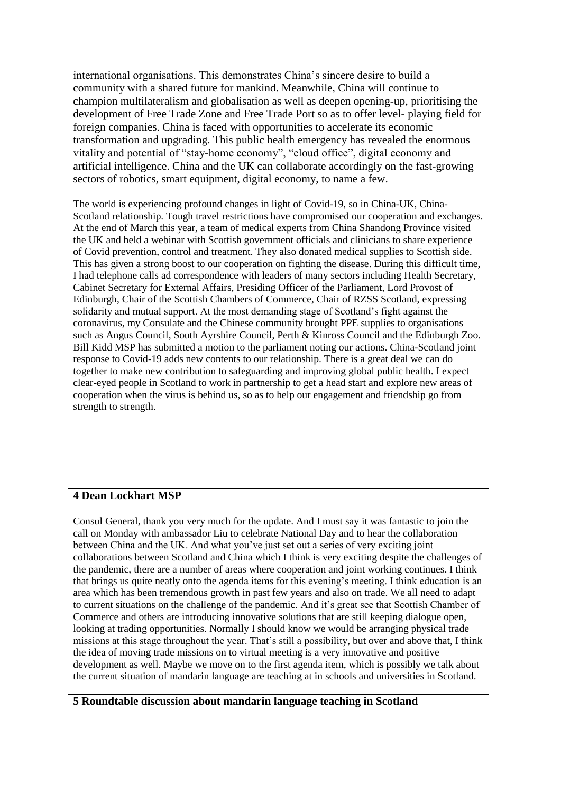international organisations. This demonstrates China's sincere desire to build a community with a shared future for mankind. Meanwhile, China will continue to champion multilateralism and globalisation as well as deepen opening-up, prioritising the development of Free Trade Zone and Free Trade Port so as to offer level- playing field for foreign companies. China is faced with opportunities to accelerate its economic transformation and upgrading. This public health emergency has revealed the enormous vitality and potential of "stay-home economy", "cloud office", digital economy and artificial intelligence. China and the UK can collaborate accordingly on the fast-growing sectors of robotics, smart equipment, digital economy, to name a few.

The world is experiencing profound changes in light of Covid-19, so in China-UK, China-Scotland relationship. Tough travel restrictions have compromised our cooperation and exchanges. At the end of March this year, a team of medical experts from China Shandong Province visited the UK and held a webinar with Scottish government officials and clinicians to share experience of Covid prevention, control and treatment. They also donated medical supplies to Scottish side. This has given a strong boost to our cooperation on fighting the disease. During this difficult time, I had telephone calls ad correspondence with leaders of many sectors including Health Secretary, Cabinet Secretary for External Affairs, Presiding Officer of the Parliament, Lord Provost of Edinburgh, Chair of the Scottish Chambers of Commerce, Chair of RZSS Scotland, expressing solidarity and mutual support. At the most demanding stage of Scotland's fight against the coronavirus, my Consulate and the Chinese community brought PPE supplies to organisations such as Angus Council, South Ayrshire Council, Perth & Kinross Council and the Edinburgh Zoo. Bill Kidd MSP has submitted a motion to the parliament noting our actions. China-Scotland joint response to Covid-19 adds new contents to our relationship. There is a great deal we can do together to make new contribution to safeguarding and improving global public health. I expect clear-eyed people in Scotland to work in partnership to get a head start and explore new areas of cooperation when the virus is behind us, so as to help our engagement and friendship go from strength to strength.

# **4 Dean Lockhart MSP**

Consul General, thank you very much for the update. And I must say it was fantastic to join the call on Monday with ambassador Liu to celebrate National Day and to hear the collaboration between China and the UK. And what you've just set out a series of very exciting joint collaborations between Scotland and China which I think is very exciting despite the challenges of the pandemic, there are a number of areas where cooperation and joint working continues. I think that brings us quite neatly onto the agenda items for this evening's meeting. I think education is an area which has been tremendous growth in past few years and also on trade. We all need to adapt to current situations on the challenge of the pandemic. And it's great see that Scottish Chamber of Commerce and others are introducing innovative solutions that are still keeping dialogue open, looking at trading opportunities. Normally I should know we would be arranging physical trade missions at this stage throughout the year. That's still a possibility, but over and above that, I think the idea of moving trade missions on to virtual meeting is a very innovative and positive development as well. Maybe we move on to the first agenda item, which is possibly we talk about the current situation of mandarin language are teaching at in schools and universities in Scotland.

### **5 Roundtable discussion about mandarin language teaching in Scotland**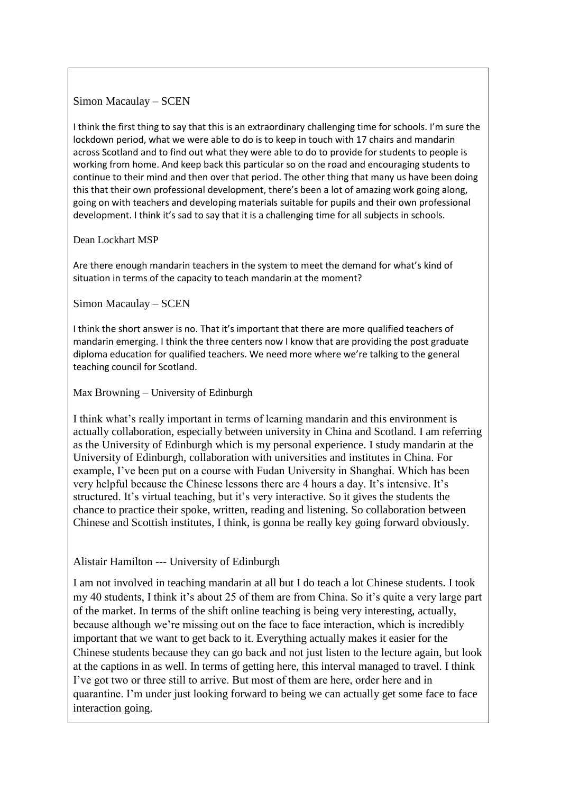## Simon Macaulay – SCEN

I think the first thing to say that this is an extraordinary challenging time for schools. I'm sure the lockdown period, what we were able to do is to keep in touch with 17 chairs and mandarin across Scotland and to find out what they were able to do to provide for students to people is working from home. And keep back this particular so on the road and encouraging students to continue to their mind and then over that period. The other thing that many us have been doing this that their own professional development, there's been a lot of amazing work going along, going on with teachers and developing materials suitable for pupils and their own professional development. I think it's sad to say that it is a challenging time for all subjects in schools.

### Dean Lockhart MSP

Are there enough mandarin teachers in the system to meet the demand for what's kind of situation in terms of the capacity to teach mandarin at the moment?

## Simon Macaulay – SCEN

I think the short answer is no. That it's important that there are more qualified teachers of mandarin emerging. I think the three centers now I know that are providing the post graduate diploma education for qualified teachers. We need more where we're talking to the general teaching council for Scotland.

Max Browning – University of Edinburgh

I think what's really important in terms of learning mandarin and this environment is actually collaboration, especially between university in China and Scotland. I am referring as the University of Edinburgh which is my personal experience. I study mandarin at the University of Edinburgh, collaboration with universities and institutes in China. For example, I've been put on a course with Fudan University in Shanghai. Which has been very helpful because the Chinese lessons there are 4 hours a day. It's intensive. It's structured. It's virtual teaching, but it's very interactive. So it gives the students the chance to practice their spoke, written, reading and listening. So collaboration between Chinese and Scottish institutes, I think, is gonna be really key going forward obviously.

## Alistair Hamilton --- University of Edinburgh

I am not involved in teaching mandarin at all but I do teach a lot Chinese students. I took my 40 students, I think it's about 25 of them are from China. So it's quite a very large part of the market. In terms of the shift online teaching is being very interesting, actually, because although we're missing out on the face to face interaction, which is incredibly important that we want to get back to it. Everything actually makes it easier for the Chinese students because they can go back and not just listen to the lecture again, but look at the captions in as well. In terms of getting here, this interval managed to travel. I think I've got two or three still to arrive. But most of them are here, order here and in quarantine. I'm under just looking forward to being we can actually get some face to face interaction going.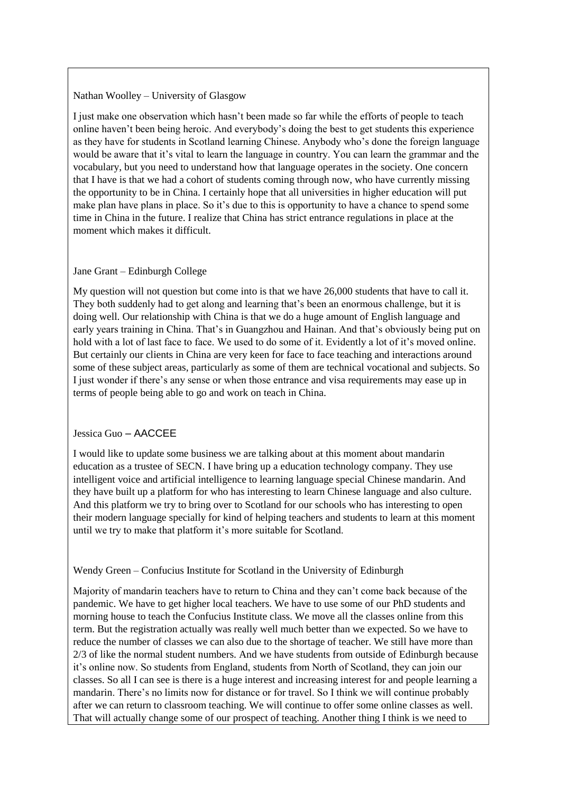#### Nathan Woolley – University of Glasgow

I just make one observation which hasn't been made so far while the efforts of people to teach online haven't been being heroic. And everybody's doing the best to get students this experience as they have for students in Scotland learning Chinese. Anybody who's done the foreign language would be aware that it's vital to learn the language in country. You can learn the grammar and the vocabulary, but you need to understand how that language operates in the society. One concern that I have is that we had a cohort of students coming through now, who have currently missing the opportunity to be in China. I certainly hope that all universities in higher education will put make plan have plans in place. So it's due to this is opportunity to have a chance to spend some time in China in the future. I realize that China has strict entrance regulations in place at the moment which makes it difficult.

#### Jane Grant – Edinburgh College

My question will not question but come into is that we have 26,000 students that have to call it. They both suddenly had to get along and learning that's been an enormous challenge, but it is doing well. Our relationship with China is that we do a huge amount of English language and early years training in China. That's in Guangzhou and Hainan. And that's obviously being put on hold with a lot of last face to face. We used to do some of it. Evidently a lot of it's moved online. But certainly our clients in China are very keen for face to face teaching and interactions around some of these subject areas, particularly as some of them are technical vocational and subjects. So I just wonder if there's any sense or when those entrance and visa requirements may ease up in terms of people being able to go and work on teach in China.

#### Jessica Guo – AACCEE

I would like to update some business we are talking about at this moment about mandarin education as a trustee of SECN. I have bring up a education technology company. They use intelligent voice and artificial intelligence to learning language special Chinese mandarin. And they have built up a platform for who has interesting to learn Chinese language and also culture. And this platform we try to bring over to Scotland for our schools who has interesting to open their modern language specially for kind of helping teachers and students to learn at this moment until we try to make that platform it's more suitable for Scotland.

#### Wendy Green – Confucius Institute for Scotland in the University of Edinburgh

Majority of mandarin teachers have to return to China and they can't come back because of the pandemic. We have to get higher local teachers. We have to use some of our PhD students and morning house to teach the Confucius Institute class. We move all the classes online from this term. But the registration actually was really well much better than we expected. So we have to reduce the number of classes we can also due to the shortage of teacher. We still have more than 2/3 of like the normal student numbers. And we have students from outside of Edinburgh because it's online now. So students from England, students from North of Scotland, they can join our classes. So all I can see is there is a huge interest and increasing interest for and people learning a mandarin. There's no limits now for distance or for travel. So I think we will continue probably after we can return to classroom teaching. We will continue to offer some online classes as well. That will actually change some of our prospect of teaching. Another thing I think is we need to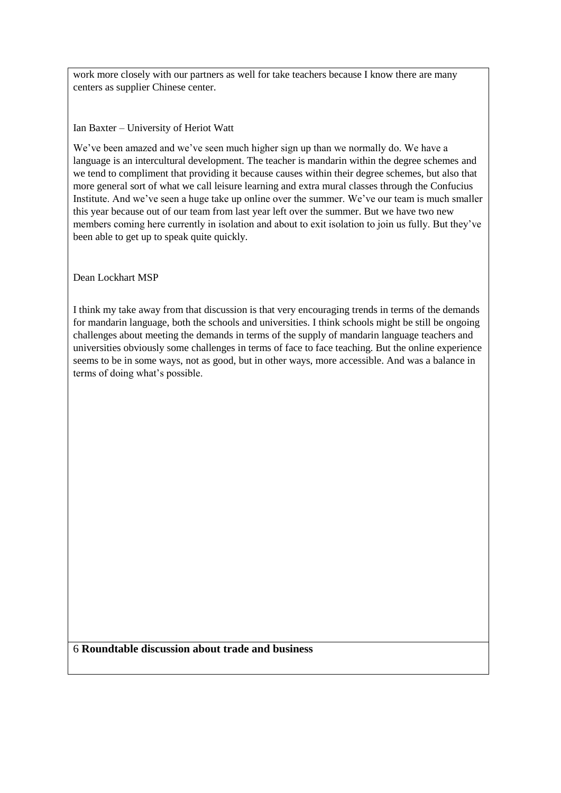work more closely with our partners as well for take teachers because I know there are many centers as supplier Chinese center.

Ian Baxter – University of Heriot Watt

We've been amazed and we've seen much higher sign up than we normally do. We have a language is an intercultural development. The teacher is mandarin within the degree schemes and we tend to compliment that providing it because causes within their degree schemes, but also that more general sort of what we call leisure learning and extra mural classes through the Confucius Institute. And we've seen a huge take up online over the summer. We've our team is much smaller this year because out of our team from last year left over the summer. But we have two new members coming here currently in isolation and about to exit isolation to join us fully. But they've been able to get up to speak quite quickly.

Dean Lockhart MSP

I think my take away from that discussion is that very encouraging trends in terms of the demands for mandarin language, both the schools and universities. I think schools might be still be ongoing challenges about meeting the demands in terms of the supply of mandarin language teachers and universities obviously some challenges in terms of face to face teaching. But the online experience seems to be in some ways, not as good, but in other ways, more accessible. And was a balance in terms of doing what's possible.

6 **Roundtable discussion about trade and business**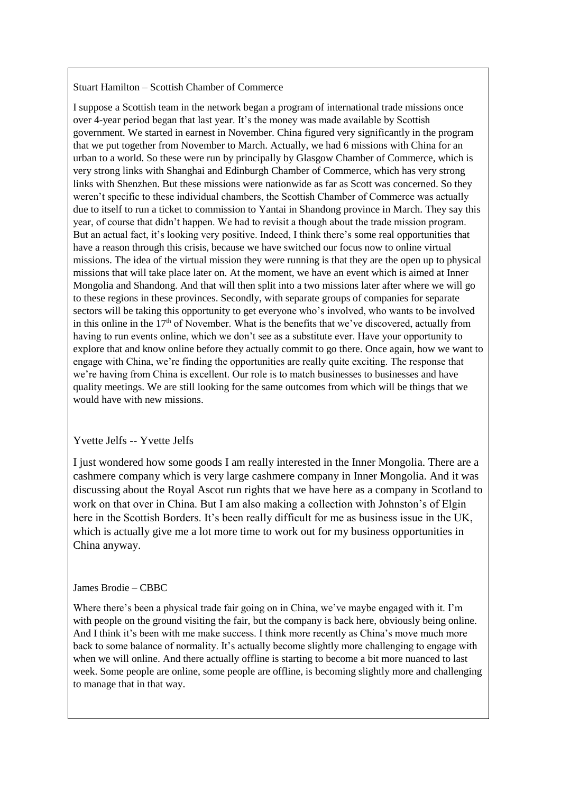#### Stuart Hamilton – Scottish Chamber of Commerce

I suppose a Scottish team in the network began a program of international trade missions once over 4-year period began that last year. It's the money was made available by Scottish government. We started in earnest in November. China figured very significantly in the program that we put together from November to March. Actually, we had 6 missions with China for an urban to a world. So these were run by principally by Glasgow Chamber of Commerce, which is very strong links with Shanghai and Edinburgh Chamber of Commerce, which has very strong links with Shenzhen. But these missions were nationwide as far as Scott was concerned. So they weren't specific to these individual chambers, the Scottish Chamber of Commerce was actually due to itself to run a ticket to commission to Yantai in Shandong province in March. They say this year, of course that didn't happen. We had to revisit a though about the trade mission program. But an actual fact, it's looking very positive. Indeed, I think there's some real opportunities that have a reason through this crisis, because we have switched our focus now to online virtual missions. The idea of the virtual mission they were running is that they are the open up to physical missions that will take place later on. At the moment, we have an event which is aimed at Inner Mongolia and Shandong. And that will then split into a two missions later after where we will go to these regions in these provinces. Secondly, with separate groups of companies for separate sectors will be taking this opportunity to get everyone who's involved, who wants to be involved in this online in the 17<sup>th</sup> of November. What is the benefits that we've discovered, actually from having to run events online, which we don't see as a substitute ever. Have your opportunity to explore that and know online before they actually commit to go there. Once again, how we want to engage with China, we're finding the opportunities are really quite exciting. The response that we're having from China is excellent. Our role is to match businesses to businesses and have quality meetings. We are still looking for the same outcomes from which will be things that we would have with new missions.

#### Yvette Jelfs -- Yvette Jelfs

I just wondered how some goods I am really interested in the Inner Mongolia. There are a cashmere company which is very large cashmere company in Inner Mongolia. And it was discussing about the Royal Ascot run rights that we have here as a company in Scotland to work on that over in China. But I am also making a collection with Johnston's of Elgin here in the Scottish Borders. It's been really difficult for me as business issue in the UK, which is actually give me a lot more time to work out for my business opportunities in China anyway.

#### James Brodie – CBBC

Where there's been a physical trade fair going on in China, we've maybe engaged with it. I'm with people on the ground visiting the fair, but the company is back here, obviously being online. And I think it's been with me make success. I think more recently as China's move much more back to some balance of normality. It's actually become slightly more challenging to engage with when we will online. And there actually offline is starting to become a bit more nuanced to last week. Some people are online, some people are offline, is becoming slightly more and challenging to manage that in that way.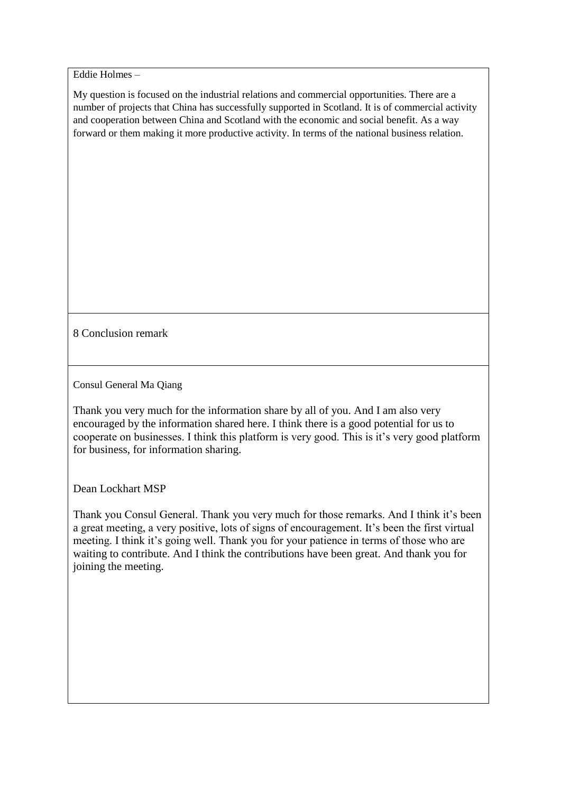Eddie Holmes –

My question is focused on the industrial relations and commercial opportunities. There are a number of projects that China has successfully supported in Scotland. It is of commercial activity and cooperation between China and Scotland with the economic and social benefit. As a way forward or them making it more productive activity. In terms of the national business relation.

8 Conclusion remark

Consul General Ma Qiang

Thank you very much for the information share by all of you. And I am also very encouraged by the information shared here. I think there is a good potential for us to cooperate on businesses. I think this platform is very good. This is it's very good platform for business, for information sharing.

Dean Lockhart MSP

Thank you Consul General. Thank you very much for those remarks. And I think it's been a great meeting, a very positive, lots of signs of encouragement. It's been the first virtual meeting. I think it's going well. Thank you for your patience in terms of those who are waiting to contribute. And I think the contributions have been great. And thank you for joining the meeting.